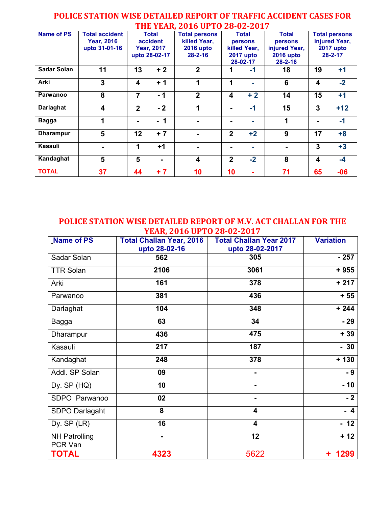## **Name of PS Total accident Year, 2016 upto 31-01-16 Total accident Year, 2017 upto 28-02-17 Total persons killed Year, 2016 upto 28-2-16 Total persons killed Year, 2017 upto 28-02-17 Total persons injured Year, 2016 upto 28-2-16 Total persons injured Year, 2017 upto 28-2-17 Sadar Solan 11 13 + 2 2 1 -1 18 19 +1 Arki 3 4 + 1 1 1 - 6 4 -2 Parwanoo 8 7 - 1 2 4 + 2 14 15 +1 Darlaghat 4 2 - 2 1 - -1 15 3 +12 Bagga 1 - - 1 - - - 1 - -1 Dharampur 5 12 + 7 - 2 +2 9 17 +8 Kasauli - 1 +1 - - - - 3 +3 Kandaghat 5 5 - 4 2 -2 8 4 -4 TOTAL 37 44 + 7 10 10 - 71 65 -06**

## **POLICE STATION WISE DETAILED REPORT OF TRAFFIC ACCIDENT CASES FOR THE YEAR, 2016 UPTO 28-02-2017**

**POLICE STATION WISE DETAILED REPORT OF M.V. ACT CHALLAN FOR THE YEAR, 2016 UPTO 28-02-2017** 

| Name of PS                      | <b>Total Challan Year, 2016</b><br>upto 28-02-16 | <b>Total Challan Year 2017</b><br>upto 28-02-2017 | <b>Variation</b> |  |
|---------------------------------|--------------------------------------------------|---------------------------------------------------|------------------|--|
| Sadar Solan                     | 562                                              | 305                                               | $-257$           |  |
| <b>TTR Solan</b>                | 2106                                             | 3061                                              | $+955$           |  |
| Arki                            | 161                                              | 378                                               | $+217$           |  |
| Parwanoo                        | 381                                              | 436                                               | $+55$            |  |
| Darlaghat                       | 104                                              | 348                                               | $+244$           |  |
| Bagga                           | 63                                               | 34                                                | $-29$            |  |
| Dharampur                       | 436                                              | 475                                               | $+39$            |  |
| Kasauli                         | 217                                              | 187                                               | $-30$            |  |
| Kandaghat                       | 248                                              | 378                                               | $+130$           |  |
| Addl. SP Solan                  | 09                                               | -                                                 | $-9$             |  |
| Dy. $SP(HQ)$                    | 10                                               | ۰                                                 | $-10$            |  |
| SDPO Parwanoo                   | 02                                               | $\blacksquare$                                    | $-2$             |  |
| SDPO Darlagaht                  | 8                                                | 4                                                 | $-4$             |  |
| Dy. SP (LR)                     | 16                                               | $\overline{\mathbf{4}}$                           | - 12             |  |
| <b>NH Patrolling</b><br>PCR Van | 12                                               |                                                   | $+12$            |  |
| <b>TOTAL</b>                    | 4323                                             | 5622                                              | 1299             |  |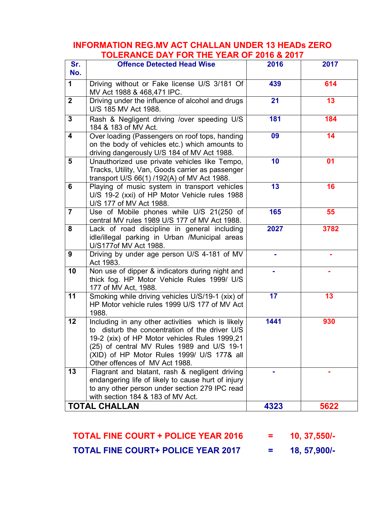## **INFORMATION REG.MV ACT CHALLAN UNDER 13 HEADs ZERO TOLERANCE DAY FOR THE YEAR OF 2016 & 2017**

| Sr.                     | - 1 V 1 I V 1 D D D A I I V 1 V 1 I I I 1 L D A I V V 1<br><b>Offence Detected Head Wise</b> | 2016 | 2017 |
|-------------------------|----------------------------------------------------------------------------------------------|------|------|
| No.                     |                                                                                              |      |      |
|                         |                                                                                              |      |      |
| 1                       | Driving without or Fake license U/S 3/181 Of                                                 | 439  | 614  |
|                         | MV Act 1988 & 468,471 IPC.                                                                   |      |      |
| $\overline{2}$          | Driving under the influence of alcohol and drugs                                             | 21   | 13   |
|                         | U/S 185 MV Act 1988.                                                                         |      |      |
| $\mathbf{3}$            | Rash & Negligent driving /over speeding U/S                                                  | 181  | 184  |
|                         | 184 & 183 of MV Act.                                                                         |      |      |
| $\overline{\mathbf{4}}$ | Over loading (Passengers on roof tops, handing                                               | 09   | 14   |
|                         | on the body of vehicles etc.) which amounts to                                               |      |      |
|                         | driving dangerously U/S 184 of MV Act 1988.                                                  |      |      |
| 5                       | Unauthorized use private vehicles like Tempo,                                                | 10   | 01   |
|                         | Tracks, Utility, Van, Goods carrier as passenger                                             |      |      |
|                         | transport U/S 66(1) /192(A) of MV Act 1988.                                                  |      |      |
| 6                       | Playing of music system in transport vehicles                                                | 13   | 16   |
|                         | U/S 19-2 (xxi) of HP Motor Vehicle rules 1988                                                |      |      |
|                         | U/S 177 of MV Act 1988.                                                                      |      |      |
| $\overline{7}$          | Use of Mobile phones while U/S 21(250 of                                                     | 165  | 55   |
|                         | central MV rules 1989 U/S 177 of MV Act 1988.                                                |      |      |
| 8                       | Lack of road discipline in general including                                                 | 2027 | 3782 |
|                         | idle/illegal parking in Urban /Municipal areas                                               |      |      |
|                         | U/S177of MV Act 1988.                                                                        |      |      |
| 9                       | Driving by under age person U/S 4-181 of MV                                                  |      |      |
|                         | Act 1983.                                                                                    |      |      |
| 10                      | Non use of dipper & indicators during night and                                              |      |      |
|                         | thick fog. HP Motor Vehicle Rules 1999/ U/S                                                  |      |      |
|                         | 177 of MV Act, 1988.                                                                         |      |      |
| 11                      | Smoking while driving vehicles U/S/19-1 (xix) of                                             | 17   | 13   |
|                         | HP Motor vehicle rules 1999 U/S 177 of MV Act                                                |      |      |
|                         | 1988.                                                                                        |      |      |
| 12                      | Including in any other activities which is likely                                            | 1441 | 930  |
|                         | to disturb the concentration of the driver U/S                                               |      |      |
|                         |                                                                                              |      |      |
|                         | 19-2 (xix) of HP Motor vehicles Rules 1999,21                                                |      |      |
|                         | (25) of central MV Rules 1989 and U/S 19-1                                                   |      |      |
|                         | (XID) of HP Motor Rules 1999/ U/S 177& all                                                   |      |      |
|                         | Other offences of MV Act 1988.                                                               |      |      |
| 13                      | Flagrant and blatant, rash & negligent driving                                               |      |      |
|                         | endangering life of likely to cause hurt of injury                                           |      |      |
|                         | to any other person under section 279 IPC read                                               |      |      |
|                         | with section 184 & 183 of MV Act.                                                            |      |      |
|                         | <b>TOTAL CHALLAN</b>                                                                         | 4323 | 5622 |

 **TOTAL FINE COURT + POLICE YEAR 2016 = 10, 37,550/- TOTAL FINE COURT+ POLICE YEAR 2017 = 18, 57,900/-** 

I